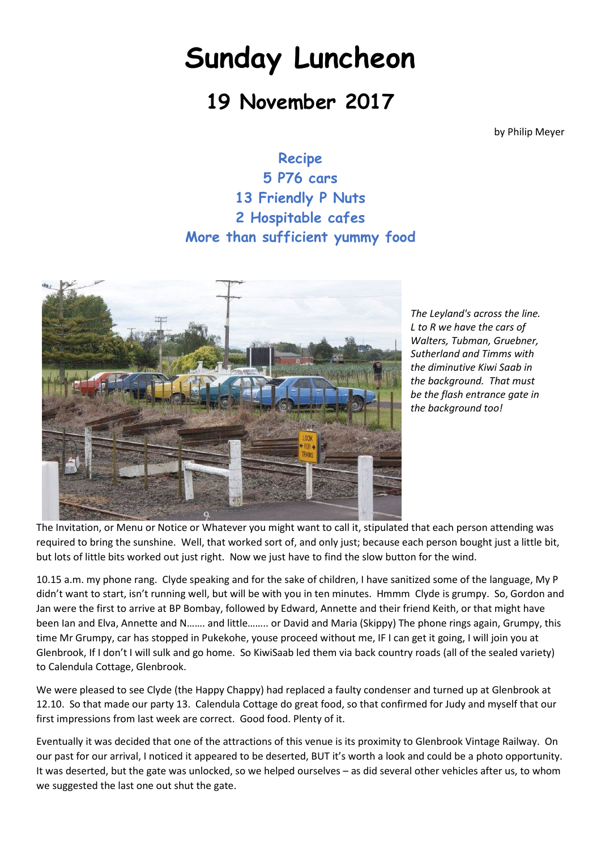## **Sunday Luncheon**

## **19 November 2017**

by Philip Meyer

**Recipe 5 P76 cars 13 Friendly P Nuts 2 Hospitable cafes More than sufficient yummy food**



*The Leyland's across the line. L to R we have the cars of Walters, Tubman, Gruebner, Sutherland and Timms with the diminutive Kiwi Saab in the background. That must be the flash entrance gate in the background too!*

The Invitation, or Menu or Notice or Whatever you might want to call it, stipulated that each person attending was required to bring the sunshine. Well, that worked sort of, and only just; because each person bought just a little bit, but lots of little bits worked out just right. Now we just have to find the slow button for the wind.

10.15 a.m. my phone rang. Clyde speaking and for the sake of children, I have sanitized some of the language, My P didn't want to start, isn't running well, but will be with you in ten minutes. Hmmm Clyde is grumpy. So, Gordon and Jan were the first to arrive at BP Bombay, followed by Edward, Annette and their friend Keith, or that might have been Ian and Elva, Annette and N……. and little…….. or David and Maria (Skippy) The phone rings again, Grumpy, this time Mr Grumpy, car has stopped in Pukekohe, youse proceed without me, IF I can get it going, I will join you at Glenbrook, If I don't I will sulk and go home. So KiwiSaab led them via back country roads (all of the sealed variety) to Calendula Cottage, Glenbrook.

We were pleased to see Clyde (the Happy Chappy) had replaced a faulty condenser and turned up at Glenbrook at 12.10. So that made our party 13. Calendula Cottage do great food, so that confirmed for Judy and myself that our first impressions from last week are correct. Good food. Plenty of it.

Eventually it was decided that one of the attractions of this venue is its proximity to Glenbrook Vintage Railway. On our past for our arrival, I noticed it appeared to be deserted, BUT it's worth a look and could be a photo opportunity. It was deserted, but the gate was unlocked, so we helped ourselves – as did several other vehicles after us, to whom we suggested the last one out shut the gate.